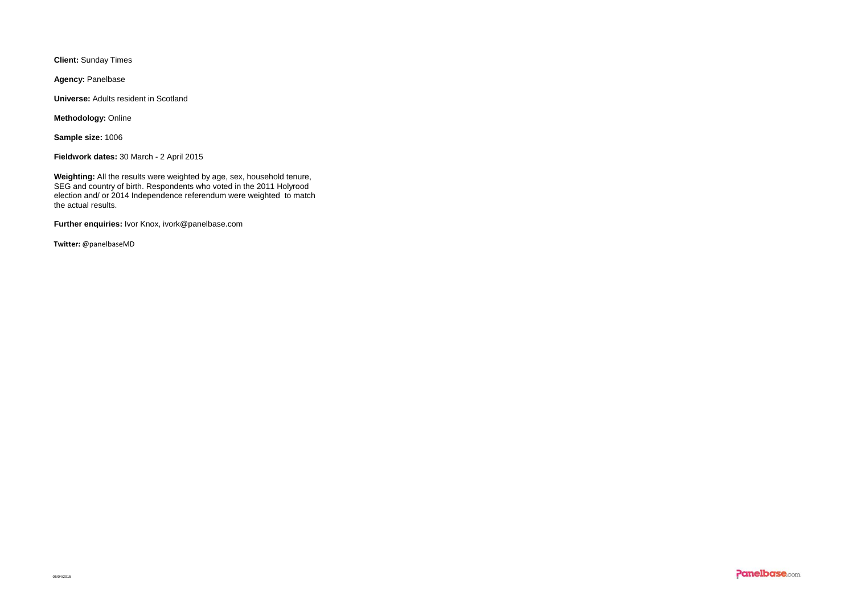**Client:** Sunday Times

**Agency:** Panelbase

**Universe:** Adults resident in Scotland

**Methodology:** Online

**Sample size:** 1006

**Fieldwork dates:** 30 March - 2 April 2015

**Weighting:** All the results were weighted by age, sex, household tenure, SEG and country of birth. Respondents who voted in the 2011 Holyrood election and/ or 2014 Independence referendum were weighted to match the actual results.

**Further enquiries:** Ivor Knox, ivork@panelbase.com

**Twitter:** @panelbaseMD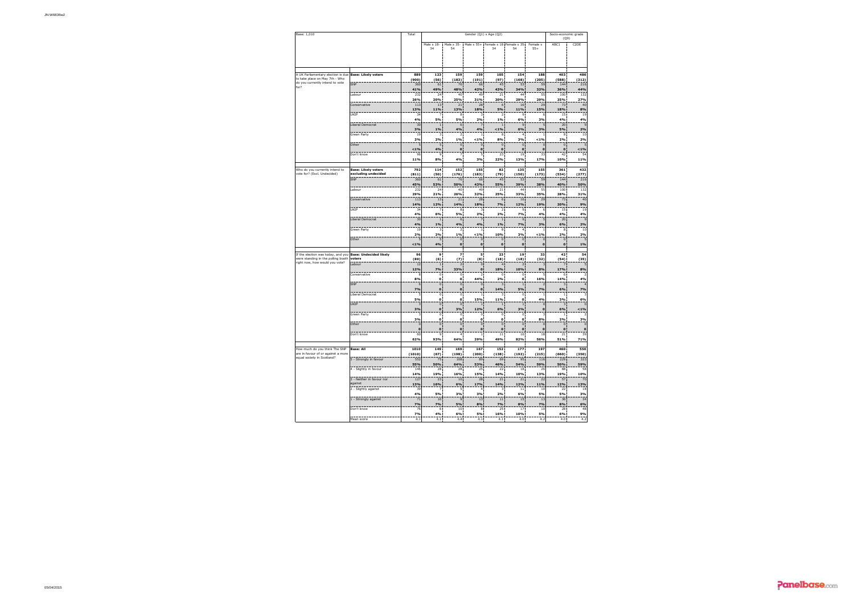| Base: 1,010                                                          | Total                                |                             | Socio-economic grade<br>(Q9)       |                                      |                                |                          |                                          |                             |                             |                                |
|----------------------------------------------------------------------|--------------------------------------|-----------------------------|------------------------------------|--------------------------------------|--------------------------------|--------------------------|------------------------------------------|-----------------------------|-----------------------------|--------------------------------|
|                                                                      |                                      |                             | Male $\times$ 18-<br>34            | Male x 35-<br>54                     |                                | 34                       | Male x 55+ Female x 18 Female x 35<br>54 | Female x<br>$55+$           | ABC1                        | C2DE                           |
|                                                                      |                                      |                             |                                    |                                      |                                |                          |                                          |                             |                             |                                |
|                                                                      |                                      |                             |                                    |                                      |                                |                          |                                          |                             |                             |                                |
| A UK Parliamentary election is due<br>to take place on May 7th - Who | <b>Base: Likely voters</b>           | 889<br>(900)                | 123<br>(56)                        | 159<br>(183)                         | 159<br>(191)                   | 105<br>(97)              | 154<br>(168)                             | 188<br>(205)                | 403<br>(588)                | 486<br>(312)                   |
| do you currently intend to vote<br>for?                              | SNP                                  | 360                         | 61                                 | 76                                   | 66                             | 45                       | 53                                       | 59                          | 144                         | 216                            |
|                                                                      | Labour                               | 41%<br>232                  | 49%<br>24                          | 48%<br>40                            | 42%<br>49                      | 43%<br>21                | 34%<br>44                                | 32%<br>55                   | 36%<br>100                  | 44%<br>137                     |
|                                                                      |                                      | 26%                         | 20%                                | 25%                                  | 31%                            | 20%                      | 29%                                      | 29%                         | 25%                         | 27%                            |
|                                                                      | Conservative                         | 113<br>13%                  | 13<br>11%                          | 21<br>13%                            | 28<br>18%                      | 6<br>5%                  | 16<br>11%                                | 25<br>15%                   | 73<br>18%                   | 40<br>8%                       |
|                                                                      | UKIP                                 | 34<br>4%                    |                                    | 8                                    | 3                              | 2                        |                                          |                             | 15<br>4%                    | 1S                             |
|                                                                      | Liberal Democrat                     | 30                          | 5%<br>$\overline{1}$               | 5%<br>6                              | 2%<br>ä                        | 1%<br>$\overline{1}$     | 6%<br>$\overline{9}$                     | 3%                          | 20                          | 4%<br>$\epsilon$               |
|                                                                      | Green Party                          | 3%<br>$\overline{19}$       | 1%<br>$\overline{3}$               | 4%<br>$\overline{a}$                 | 4%<br>Í                        | 1%<br>8                  | 6%<br>4                                  | 3%                          | 5%<br>8                     | 2%<br>$\overline{10}$          |
|                                                                      |                                      | 2%                          | 2%                                 | 1%                                   | 1%                             | 8%                       | 3%                                       | 1%                          | 2%                          | 2%                             |
|                                                                      | Other                                | E                           | 5                                  | $\bf 0$                              | $\bf 0$                        | $\bf 0$                  | $\,$ 0                                   | $\mathbf{C}$                | $\bf 0$                     | $\overline{a}$                 |
|                                                                      | Don't know                           | 1%<br>96                    | 4%<br>$\mathsf q$                  | $\pmb{\mathsf{o}}$<br>$\overline{z}$ | 0<br>5                         | $\pmb{\mathsf{o}}$<br>73 | $\mathbf 0$<br>19                        | $\mathbf 0$<br>33           | $\mathbf 0$<br>42           | $1\%$<br>54                    |
|                                                                      |                                      | 11%                         | 8%                                 | 4%                                   | 3%                             | 22%                      | 13%                                      | 17%                         | 10%                         | 11%                            |
| Who do you currently intend to                                       | <b>Base: Likely voters</b>           | 792                         | 114                                | 152                                  | 155                            | 82                       | 135                                      | 155                         | 361                         | 432                            |
| vote for? (Excl. Undecided)                                          | excluding undecided<br>SNP           | (811)<br>360                | (50)<br>61                         | (176)<br>76                          | (183)<br>66                    | (79)<br>45               | (150)<br>53                              | (173)<br>55                 | (534)<br>144                | (277)<br>216                   |
|                                                                      |                                      | 45%                         | 53%                                | 50%                                  | 43%                            | 55%                      | 39%                                      | 38%                         | 40%                         | 50%                            |
|                                                                      | Labour                               | 232<br>29%                  | 24<br>21%                          | 40<br>26%                            | 49<br>32%                      | 21<br>25%                | 44<br>33%                                | 55<br>35%                   | 100<br>28%                  | 132<br>31%                     |
|                                                                      | Conservative                         | 11 <sub>3</sub>             | 13                                 | 21                                   | 28                             | 6                        | 16                                       | 29                          | 73                          | 40                             |
|                                                                      | LIKTP                                | 14%<br>34                   | 12%<br>7                           | 14%<br>R                             | 18%<br>٦                       | 7%<br>2                  | 12%<br>q                                 | 19%                         | 20%<br>15                   | 9%<br>19                       |
|                                                                      |                                      | 4%                          | 6%                                 | 5%                                   | 2%                             | 2%                       | 7%                                       | 4%                          | 4%                          | 4%                             |
|                                                                      | Liberal Democrat                     | 30<br>4%                    | $\overline{1}$<br>1%               | 6<br>4%                              | ÿ<br>4%                        | $\mathbf{1}$<br>1%       | $\overline{9}$                           | Ë                           | 20<br>6%                    | ċ<br>2%                        |
|                                                                      | Green Party                          | 15                          | 3                                  | 2                                    | Í                              | 8                        | 7%<br>4                                  | 3%                          | 8                           | 10                             |
|                                                                      | Other                                | 2%                          | 2%<br>5                            | 1%<br>$\Omega$                       | $1\%$<br>$\Omega$              | 10%<br>$\Omega$          | 3%<br>$\overline{0}$                     | 1%<br>$\sqrt{2}$            | 2%<br>$\Omega$              | 2%<br>ï.                       |
|                                                                      |                                      | 1%                          | 4%                                 | $\mathbf 0$                          | $\bullet$                      | $\bullet$                | $\bullet$                                | $\bullet$                   | $\bullet$                   | 1%                             |
| If the election was today, and you                                   | <b>Base: Undecided likely</b>        | 96                          | 9                                  | 7                                    | 5                              | 23                       | 19                                       | 33                          | 42                          | 54                             |
| were standing in the polling booth<br>right now, how would you vote? | voters                               | (89)                        | (6)                                | (7)                                  | (8)                            | (18)                     | (18)                                     | (32)                        | (54)                        | (35)                           |
|                                                                      | Labour                               | 12<br>12%                   | $\overline{1}$<br>7%               | $\overline{z}$<br>33%                | $\theta$<br>$\pmb{\mathsf{o}}$ | 18%                      | 2<br>10%                                 | 8%                          | 17%                         | 8%                             |
|                                                                      | Conservative                         | Я                           | $\mathbf{0}$                       | $\mathbf 0$                          | $\overline{2}$                 | $^{\circ}$               | $\circ$                                  |                             | 6                           |                                |
|                                                                      | SNP                                  | 8%<br>É                     | $\mathbf 0$<br>$\mathbf 0$         | o<br>$\bf 0$                         | 44%<br>$\bf 0$                 | 2%<br>в                  | o<br>$\mathbf{1}$                        | 16%                         | 14%<br>3                    | 4%                             |
|                                                                      |                                      | 7%                          | $\pmb{\mathsf{o}}$                 | $\pmb{\mathsf{o}}$                   | $\pmb{\mathsf{o}}$             | 14%                      | 5%                                       | 7%                          | 6%                          | 7%                             |
|                                                                      | Liberal Democrat                     | 5%                          | $\circ$<br>$\mathbf 0$             | $\Omega$<br>$\mathbf{o}$             | $\overline{1}$<br>15%          | 11%                      | $\Omega$<br>$\bullet$                    | 1<br>4%                     | 1<br>3%                     | 6%                             |
|                                                                      | UKIP                                 |                             | $\mathbf 0$                        | $\overline{\mathbf{0}}$              | 1                              | $\mathbf{1}$             | $\mathbf{1}$                             | $\mathbf c$                 | $\overline{3}$              | $\mathbf c$                    |
|                                                                      | Green Party                          | 3%                          | $\pmb{\mathsf{o}}$<br>$\mathbf{0}$ | 3%<br>$\bf 0$                        | 12%<br>$\mathbf 0$             | 6%<br>0                  | 3%<br>$\mathbf 0$                        | $\mathbf 0$<br>٦            | 6%<br>$\mathbf{1}$          | $1\%$                          |
|                                                                      |                                      | 3%                          | $\bullet$                          | $\Omega$                             | $\Omega$                       | $\mathbf{o}$             | o                                        | 8%                          | 2%                          | 3%                             |
|                                                                      | Other                                | $\overline{0}$<br>$\bullet$ | $\bf{0}$<br>$\mathbf 0$            | $\overline{0}$<br>$\mathbf 0$        | $\overline{0}$<br>$\mathbf 0$  | $\mathbf 0$<br>$\bullet$ | $\bf 0$<br>$\bullet$                     | $\overline{0}$<br>$\bullet$ | $\overline{0}$<br>$\bullet$ | $\overline{0}$<br>$\mathbf{o}$ |
|                                                                      | Don't know                           | 60                          | 9                                  | 4                                    | $\mathbf{1}$                   | 11                       | 16                                       | 18                          | 21                          | 39                             |
|                                                                      |                                      | 62%                         | 93%                                | 64%                                  | 29%                            | 49%                      | 82%                                      | 56%                         | 51%                         | 71%                            |
| How much do you think The SNP<br>are in favour of or against a more  | <b>Base: All</b>                     | 1010                        | 149                                | 169                                  | 167                            | 152                      | 177                                      | 197                         | 460                         | 550                            |
| equal society in Scotland?                                           | 5 - Strongly in favour               | (1010)<br>552               | (67)<br>75                         | (198)<br>108                         | (200)<br>89                    | (138)<br>69              | (192)<br>95                              | (215)<br>116                | (660)<br>229                | (350)<br>323                   |
|                                                                      |                                      | 55%<br>146                  | 50%<br>28                          | 64%<br>28                            | 53%<br>25                      | 46%<br>22                | 54%<br>18                                | 59%<br>26                   | 50%<br>88                   | 59%<br>58                      |
|                                                                      | 4 - Slightly in favour               | 14%                         | 19%                                | 16%                                  | 15%                            | 14%                      | 10%                                      | 13%                         | 19%                         | 10%                            |
|                                                                      | 3 - Neither in favour nor<br>against | 127                         | 23                                 | $10\,$                               | 28                             | 21                       | 21                                       | 22                          | 57                          | 70                             |
|                                                                      | 2 - Slightly against                 | 13%<br>39                   | 16%<br>7                           | 6%<br>5                              | 17%<br>4                       | 14%<br>3                 | 12%<br>11                                | 11%<br>10                   | 12%<br>22                   | 13%<br>18                      |
|                                                                      |                                      | 4%                          | 5%                                 | 3%                                   | 3%                             | 2%                       | 6%                                       | 5%                          | 5%                          | 3%                             |
|                                                                      | 1 - Strongly against                 | 71<br>7%                    | 10<br>7%                           | 9<br>5%                              | 13<br>8%                       | 11<br>7%                 | 15<br>8%                                 | 13<br>7%                    | 36<br>8%                    | 34<br>6%                       |
|                                                                      | Don't know                           | 76                          | 6                                  | 10                                   | R                              | 75                       | 17                                       | 10                          | 28                          | 48                             |
|                                                                      | Mean score                           | 7%<br>4.1                   | 4%<br>4.1                          | 6%<br>4.4                            | 5%<br>4.1                      | 16%<br>4.1               | 10%<br>4.0                               | 5%<br>4.2                   | 6%<br>4.0                   | 9%<br>4.2                      |
|                                                                      |                                      |                             |                                    |                                      |                                |                          |                                          |                             |                             |                                |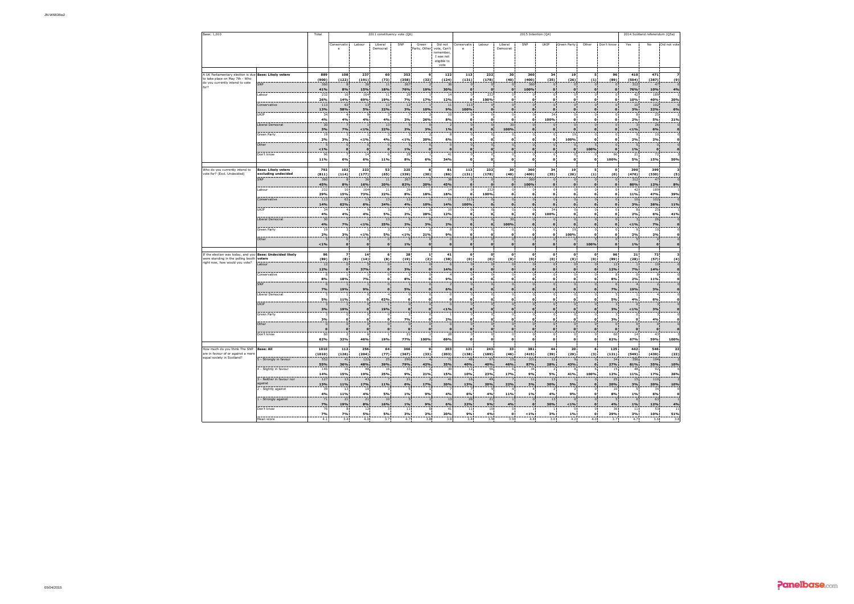| Base: 1,010                                                       |                                      | Total                   | 2011 constituency vote (Q6)   |                         |                               |                                |                                |                                                                        | 2015 Intention (Q4)         |                          |                                |                                |                              |                            |                                |                                | 2014 Scotland referendum (Q5a) |                               |                         |  |
|-------------------------------------------------------------------|--------------------------------------|-------------------------|-------------------------------|-------------------------|-------------------------------|--------------------------------|--------------------------------|------------------------------------------------------------------------|-----------------------------|--------------------------|--------------------------------|--------------------------------|------------------------------|----------------------------|--------------------------------|--------------------------------|--------------------------------|-------------------------------|-------------------------|--|
|                                                                   |                                      |                         | Conservativ<br>e              | Labour                  | Liberal<br>Democrat           | SNP                            | Green<br>Party, Other          | Did not<br>vote, Can't<br>remember<br>I was not<br>eligible to<br>vote | Conservativ                 | Labour                   | Liberal<br>Democrat            | SNP                            | LIKTP                        | Green Party                | Other                          | Don't know                     | Yes                            | No                            | Did not vote            |  |
| A UK Parliamentary election is due                                | <b>Base: Likely voters</b>           | 889                     | 108                           | 237                     | 60                            | 353                            | 9                              | 122                                                                    | 113                         | 232                      | 30                             | 360                            | 34                           | 19                         | 5                              | 96                             | 410                            | 471                           |                         |  |
| to take place on May 7th - Who<br>do you currently intend to vote | SNP                                  | (900)<br>360            | (122)<br>$\mathbb{R}$         | (191)<br>36             | (73)<br>11                    | (358)<br>267                   | (32)<br>$\overline{z}$         | (124)<br>36                                                            | (131)<br>$\theta$           | (178)<br>$\Omega$        | (40)<br>$\Omega$               | (400)<br>360                   | (35)<br>$\Omega$             | (26)<br>$\Omega$           | (1)<br>$\overline{0}$          | (89)<br>$\Omega$               | (504)<br>312                   | (387)<br>47                   | (9)                     |  |
| for?                                                              |                                      | 41%                     | 8%                            | 15%                     | 18%                           | 76%                            | 19%                            | 30%                                                                    | $\bullet$                   | $\mathbf{o}$             | $\mathbf{0}$                   | 100%                           | $\mathbf{o}$                 | $\mathbf{o}$               | $\mathbf{0}$                   | $\mathbf{o}$                   | 76%                            | 10%                           | 4%                      |  |
|                                                                   | Labour                               | 232<br>26%              | 16<br>14%                     | 164<br>69%              | $11\,$<br>19%                 | 26<br>7%                       | 17%                            | 1 <sup>6</sup><br>12%                                                  | $\circ$<br>$\bullet$        | 232<br>100%              | o:<br>$\bullet$                | $\circ$<br>$\mathbf{o}$        | $\mathbf{0}$<br>$\mathbf{0}$ | $\circ$<br>$\circ$         | $\circ$                        | $\,$ 0<br>$\circ$              | 42<br>10%                      | 189<br>40%                    | 20%                     |  |
|                                                                   | Conservative                         | 113                     | 63                            | 13                      | $13\,$                        | 12                             |                                | 11                                                                     | 113                         | $\overline{0}$           | $\mathbf 0$                    | $\overline{0}$                 | $\overline{0}$               | $\circ$                    | $\overline{0}$                 | $\overline{0}$                 | $10\,$                         | 102                           |                         |  |
|                                                                   | UKIP                                 | 13%<br>34               | 58%                           | 5%                      | 22%                           | 3%                             | 10%                            | 9%<br>10                                                               | 100%<br>$\circ$             | $\bf{0}$<br>$\circ$      | $\bullet$<br>$\mathbf{0}$      | $\bf{0}$<br>$^{\circ}$         | 34                           | $\mathbf 0$<br>$\,$ 0      | $\circ$                        | $\mathbf 0$<br>$\circ$         | 3%                             | 22%<br>25                     | 6%                      |  |
|                                                                   | Liberal Democrat                     | 4%<br>30                | 4%<br>5                       | 4%                      | 4%<br>13                      | 2%<br>$\overline{5}$           | 26%<br>$\Omega$                | 8%                                                                     | $\Omega$<br>$\mathbf{0}$    | $\Omega$<br>$\circ$      | $\Omega$<br>30 <sub>2</sub>    | $\Omega$<br>$\theta$           | 100%<br>n                    | $\Omega$<br>$\overline{0}$ | $\Omega$<br>$\circ$            | $\Omega$<br>$\theta$           | 2%                             | 5%<br>26                      | 21%                     |  |
|                                                                   |                                      | 3%                      | 7%                            | 1%                      | 22%                           | 2%                             | 3%                             | 1%                                                                     | $\bullet$                   | $\mathbf{o}$             | 100%                           | $\mathbf{o}$                   | $\mathbf{o}$                 | $\circ$                    | $\mathbf{o}$                   | $\mathbf 0$                    | $1\%$                          | 6%                            | $\bf o$                 |  |
|                                                                   | Green Party                          | 19<br>2%                | $\overline{\mathbf{3}}$<br>3% | 1%                      | $\overline{\mathbf{3}}$<br>4% | в<br>1%                        | $\overline{ }$<br>20%          | 6%                                                                     | $\circ$<br>$\Omega$         | $\circ$<br>$\Omega$      | $\mathbf{0}$<br>$\mathbf{a}$   | $\circ$<br>$\Omega$            | $\mathbf{0}$<br>$\mathbf{a}$ | 19<br>100%                 | $\circ$<br>$\Omega$            | $\circ$<br>$\Omega$            | $\ddot{ }$<br>2%               | 10<br>2%                      | $\Omega$                |  |
|                                                                   | Other                                | ×                       | $\mathbf{0}$                  | $\mathbf 0$             | $\bf{0}$                      | 5                              | $\mathbf 0$                    |                                                                        | $\circ$                     | $\circ$                  | $\mathbf{0}$                   | $\circ$                        | $\mathbf{0}$                 | $\theta$                   | 5                              | $\mathbf 0$                    | -5                             | $\,$ 0                        |                         |  |
|                                                                   | Don't know                           | $1\%$<br>Q <sub>f</sub> | $\bullet$<br>$\overline{7}$   | $\mathbf 0$<br>14       | $\mathbf{o}$<br>63            | 1%<br>28                       | $\mathbf{o}$<br>$\overline{1}$ | $\mathbf{0}$<br>41                                                     | $\mathbf{0}$<br>$\circ$     | $\mathbf{o}$<br>$\Omega$ | $\bullet$<br>$^{\circ}$        | $\mathbf{o}$<br>$\Omega$       | $\mathbf{o}$<br>o            | $\mathbf{o}$<br>$\Omega$   | 100%<br>$\Omega$               | $\mathbf{o}$<br>96             | 1%<br>21                       | $\pmb{\mathsf{o}}$<br>72      |                         |  |
|                                                                   |                                      | 11%                     | 6%                            | 6%                      | 11%                           | 8%                             | 6%                             | 34%                                                                    | $\bullet$                   | $\circ$                  | $\bullet$                      | $\mathbf{o}$                   | $\bullet$                    | $\bullet$                  | $\circ$                        | 100%                           | 5%                             | 15%                           | 50%                     |  |
| Who do you currently intend to                                    | <b>Base: Likely voters</b>           | 792                     | 102                           | 223                     | 53                            | 325                            | 8                              | 81                                                                     | 113                         | 232                      | 30                             | 360                            | 34                           | 19                         | 5                              | $\circ$                        | 390                            | 399                           | $\overline{\mathbf{3}}$ |  |
| vote for? (Excl. Undecided)                                       | excluding undecided<br>SNP           | (811)<br>360            | (114)<br>8                    | (177)<br>36             | (65)<br>11                    | (339)<br>267                   | (30)<br>$\overline{z}$         | (86)<br>36                                                             | (131)<br>$\theta$           | (178)<br>$\Omega$        | (40)<br>$\overline{0}$         | (400)<br>360                   | (35)<br>$\mathbf{0}$         | (26)<br>$\circ$            | (1)<br>$\overline{0}$          | (0)<br>$\circ$                 | (476)<br>312                   | (330)<br>47                   | (5)                     |  |
|                                                                   |                                      | 45%                     | 8%                            | 16%                     | 20%                           | 82%                            | 20%                            | 45%                                                                    | $\bullet$                   | $\mathbf{o}$             | $\bullet$                      | 100%                           | $\mathbf{o}$                 | $\mathbf{o}$               | $\mathbf{0}$                   | $\mathbf{o}$                   | 80%                            | 12%                           | 8%                      |  |
|                                                                   | Labour                               | 232<br>29%              | 16<br>15%                     | 164<br>73%              | 11<br>22%                     | 26<br>8%                       | $\mathbf{1}$<br>18%            | 16<br>18%                                                              | $\Omega$<br>$\bullet$       | 232<br>100%              | -01<br>$\bullet$               | $\Omega$<br>$\mathbf{o}$       | $\mathbf{0}$<br>$\bullet$    | $\Omega$<br>$\circ$        | $\Omega$<br>$\Omega$           | $\overline{0}$<br>$\mathbf{o}$ | 42<br>11%                      | 189<br>47%                    | 39%                     |  |
|                                                                   | Conservative                         | 113<br>14%              | 63<br>62%                     | 13<br>6%                | $13\,$<br>24%                 | 12<br>4%                       | $\mathbf{1}$<br>10%            | 11<br>14%                                                              | 113<br>100%                 | $\mathbf 0$              | $\,$ 0 $\,$<br>$\mathbf{0}$    | $\overline{0}$<br>$\mathbf 0$  | $\mathbf{0}$                 | $\theta$<br>$\mathbf{o}$   | $\overline{0}$                 | $\circ$<br>$\mathbf{0}$        | 10<br>3%                       | 102<br>26%                    | 11%                     |  |
|                                                                   | UKIP                                 | 34                      |                               |                         |                               |                                |                                | 10                                                                     | $\Omega$                    |                          | $^{\circ}$                     |                                | 34                           | $\Omega$                   | $\mathbf 0$                    | $\Omega$                       |                                | 25                            |                         |  |
|                                                                   | <b>Liberal Democrat</b>              | 4%<br>30                | 4%<br>$\overline{7}$          | 4%<br>$\mathbf{1}$      | 5%<br>13                      | 2%<br>5                        | <b>28%</b><br>$\Omega$         | 12%                                                                    | $\Omega$<br>$\theta$        | $\Omega$<br>$\Omega$     | $\mathbf{a}$<br>30             | $\Omega$<br>$\Omega$           | 100%<br>$\theta$             | $\Omega$<br>$\Omega$       | $\Omega$<br>$\theta$           | $\Omega$<br>$\overline{0}$     | 2%<br>ಾ                        | 6%<br>26                      | 41%                     |  |
|                                                                   | Green Party                          | 4%<br>19                | 7%<br>3                       | $1\%$                   | 25%                           | 2%                             | 3%<br>$\overline{\phantom{a}}$ | 2%                                                                     | $\mathbf{0}$<br>$\circ$     | $\Omega$<br>$\Omega$     | 100%                           | $\Omega$<br>$\Omega$           | o                            | $\Omega$<br>19             |                                | $\Omega$<br>$\circ$            | $1\%$                          | 7%<br>10                      |                         |  |
|                                                                   |                                      | 2%                      | 3%                            | 1%                      | 5%                            | 1%                             | 21%                            | 9%                                                                     | $\bullet$                   | $\mathbf{o}$             | $^{\circ}$<br>$\bullet$        | $\mathbf{o}$                   | $\mathbf{0}$<br>o            | 100%                       | $\theta$<br>$\mathbf{o}$       | $\circ$                        | 2%                             | 2%                            |                         |  |
|                                                                   | Other                                | 1%                      | $\bf{0}$<br>$\mathbf{0}$      | $\mathbf 0$<br>$\Omega$ | $\mathbf 0$<br>$\mathbf{0}$   | 5<br>1%                        | $\mathbb O$<br>$\mathbf{0}$    | $\mathbf{a}$                                                           | $\mathbb O$<br>$\mathbf{0}$ | $\bf{0}$<br>$\Omega$     | $\mathbf 0$<br>$\mathbf{0}$    | $\,$ 0<br>$\Omega$             | $\bf 0$<br>$\Omega$          | $\circ$<br>$\mathbf{o}$    | 100%                           | $\mathbf 0$<br>$\mathbf{o}$    | 5<br>1%                        | $\mathbf 0$<br>$\mathbf{o}$   |                         |  |
| If the election was today, and you Base: Undecided likely         |                                      | 96                      | 7                             | 14                      | $\overline{6}$                | 28                             | $\mathbf{1}$                   | 41                                                                     | $\overline{\mathbf{0}}$     | $\overline{\phantom{a}}$ | $\overline{\phantom{a}}$       | $\mathbf{o}$                   | $\mathbf 0$                  | $\overline{\mathbf{0}}$    | $\bullet$                      | 96                             | 21                             | 72                            | 3                       |  |
| were standing in the polling booth                                | voters                               | (89)                    | (8)                           | (14)                    | (8)                           | (19)                           | (2)                            | (38)                                                                   | (0)                         | (0)                      | (0)                            | (0)                            | (0)                          | (0)                        | (0)                            | (89)                           | (28)                           | (57)                          | (4)                     |  |
| right now, how would you vote?                                    | Labour                               | 12<br>12%               | $\mathbf{0}$<br>$\mathbf 0$   | 37%                     | $\mathbf{0}$<br>$\bullet$     | 3%                             | $\theta$<br>$\mathbf 0$        | 14%                                                                    | $\theta$<br>$\mathbf 0$     | $\circ$<br>$\mathbf{o}$  | $\overline{0}$<br>$\mathbf 0$  | $\Omega$<br>$\mathbf{o}$       | $\mathbf{0}$<br>$\mathbf 0$  | $\circ$<br>$\mathbf{o}$    | $\overline{0}$<br>$\mathbf{o}$ | 12<br>12%                      | 7%                             | 10<br>14%                     | $\mathbf 0$             |  |
|                                                                   | Conservative                         |                         | $\mathbf{1}$                  |                         | $\circ$                       | $\overline{2}$                 | $\theta$                       |                                                                        | $\circ$                     | $\circ$                  | o:                             | $\circ$                        | $\mathbf{0}$                 | $\mathbf{0}$               | $\mathbf{0}$                   | 8                              | $\circ$                        | 8                             |                         |  |
|                                                                   | SNP                                  | 8%<br>6                 | 18%<br>$\mathbf{1}$           | 7%<br>$\mathbf{1}$      | $\bullet$<br>$\mathbf{0}$     | 8%<br>$\overline{1}$           | $\mathbf{0}$<br>$\theta$       | 9%                                                                     | $\mathbf{0}$<br>$\theta$    | $\mathbf{o}$<br>$\Omega$ | $\mathbf{0}$<br>$\overline{0}$ | $\mathbf{o}$<br>$\Omega$       | $\mathbf{0}$<br>$\mathbf{0}$ | $\circ$<br>$\Omega$        | $\mathbf{o}$<br>$\mathbf{0}$   | 8%<br>6                        | 2%                             | 11%<br>$\overline{z}$         | $\circ$                 |  |
|                                                                   | Liberal Democrat                     | 7%                      | 19%                           | 9%<br>$^{\circ}$        | $\mathbf{o}$                  | 5%<br>ö                        | $\bullet$                      | 6%                                                                     | $\mathbf 0$<br>$\circ$      | $\mathbf{o}$             | $\mathbf 0$<br>$\mathbf{0}$    | $\mathbf{o}$<br>$\circ$        | $\bullet$<br>o:              | $\mathbf{o}$<br>ö          | $\mathbf{o}$                   | 7%                             | 19%                            | $3\%$                         |                         |  |
|                                                                   |                                      | 5%                      | 11%                           | $\mathbf{o}$            | 62%                           | $\mathbf 0$                    | $\circ$<br>o                   | $\mathbf{0}$                                                           | o                           | $\mathbf{o}$             | $\bullet$                      | $\circ$                        | $\bullet$                    | $\mathbf 0$                | 0<br>$\bullet$                 | 5%                             | 4%                             | 6%                            |                         |  |
|                                                                   | UKIP                                 | 3%                      | 19%                           | $\circ$<br>$\bullet$    | 19%                           | $\overline{0}$<br>$\mathbf{o}$ | $\mathbb O$<br>$\mathbf 0$     | 1%                                                                     | $\mathbf 0$<br>$\mathbf 0$  | $\circ$<br>$\mathbf 0$   | $\mathbf 0$ :<br>$\bullet$     | $\overline{0}$<br>$\mathbf{o}$ | $\overline{0}$               | $\circ$<br>$\mathbf 0$     | $\overline{0}$<br>$\mathbf 0$  | $\overline{\mathbf{3}}$<br>3%  | $1\%$                          | $\overline{\mathbf{3}}$<br>3% |                         |  |
|                                                                   | Green Party                          |                         | $^{\circ}$                    | $\circ$                 | $^{\circ}$                    | $\overline{ }$                 | $\circ$                        |                                                                        | $\circ$                     | $\Omega$                 | $\circ$                        | $\Omega$                       | $\alpha$                     | $\circ$                    | $\circ$                        | -3<br>3%                       | $\overline{0}$                 | $\overline{\mathbf{3}}$       |                         |  |
|                                                                   | Other                                | 3%<br>$\overline{0}$    | $\Omega$<br>$\mathbf 0$       | $\Omega$<br>$\theta$    | $\Omega$<br>$\mathbf{0}$      | 7%<br>$\overline{0}$           | $\Omega$<br>$\mathbf 0$        | 2%                                                                     | $\Omega$<br>$\mathbf 0$     | $\Omega$<br>$\theta$     | $\Omega$<br>$\mathbf 0$        | $\Omega$<br>$\mathbf{0}$       | $\Omega$<br>$\mathbf 0$      | $\Omega$<br>$\mathbf 0$    | $\Omega$<br>$\mathbf{0}$       | $\overline{0}$                 | $\Omega$<br>$\overline{0}$     | 4%<br>$\overline{0}$          |                         |  |
|                                                                   | Don't know                           | o<br>60                 | $\bullet$<br>2                | $\mathbf{o}$<br>6       | $\mathbf{o}$                  | o<br>21                        | $\bullet$<br>$\mathbf{1}$      | 28                                                                     | $\bullet$<br>$\circ$        | $\Omega$                 | $\bullet$<br>$\mathbf{0}$      | $\mathbf{o}$<br>$^{\circ}$     | $\mathbf{0}$                 | $\circ$<br>$^{\circ}$      | $\mathbf{o}$<br>$\circ$        | $\mathbf{o}$<br>60             | 14                             | $\mathbf{o}$<br>43            |                         |  |
|                                                                   |                                      | 62%                     | 32%                           | 46%                     | 19%                           | 77%                            | 100%                           | 69%                                                                    | $\bullet$                   | $\Omega$                 | $\mathbf 0$                    | $\Omega$                       | o                            | $\Omega$                   | $\bullet$                      | 62%                            | 67%                            | 59%                           | 100%                    |  |
| How much do you think The SNP                                     | <b>Base: All</b>                     | 1010                    | 112                           | 256                     | 64                            | 366                            | 9                              | 203                                                                    | 121                         | 243                      | 33                             | 381                            | 44                           | 20                         | 6                              | 125                            | 442                            | 546                           | 22                      |  |
| are in favour of or against a more<br>equal society in Scotland?  | 5 - Strongly in favour               | (1010)<br>552           | (126)<br>41                   | (204)<br>122            | (77)<br>25                    | (367)<br>290                   | (33)                           | (203)<br>71                                                            | (138)<br>48                 | (189)<br>97              | (46)<br>15                     | (415)<br>331                   | (39)<br>12                   | (29)                       | (3)<br>$\overline{0}$          | (121)<br>34                    | (549)<br>356                   | (439)<br>194                  | (22)                    |  |
|                                                                   |                                      | 55%                     | 36%                           | 48%                     | 39%                           | 79%                            | 42%                            | 35%                                                                    | 40%                         | 40%                      | 46%                            | 87%                            | 28%                          | 43%                        | $\mathbf{o}$                   | 27%                            | 81%                            | 35%                           | 10%                     |  |
|                                                                   | 4 - Slightly in favour               | 146<br>14%              | 16<br>15%                     | 48<br>19%               | 16<br>25%                     | 33<br>9%                       | 21%                            | 30<br>15%                                                              | 12<br>10%                   | 56<br>23%                | 6<br>17%                       | 34<br>9%                       | 5%                           | 8<br>41%                   | 100%                           | 15<br>12%                      | 48<br>11%                      | 92<br>17%                     | 26%                     |  |
|                                                                   | 3 - Neither in favour nor<br>against | 127                     | 13                            | 43                      |                               | 21                             | $\overline{z}$                 | 41                                                                     | 16                          | 49                       |                                | $1\,1$                         | 13                           | $\overline{1}$             |                                | 25                             | 15                             | 110                           |                         |  |
|                                                                   | 2 - Slightly against                 | 13%<br>39               | 11%<br>13                     | 17%<br>10               | 11%                           | 6%<br>5                        | 17%                            | 20%                                                                    | 13%                         | 20%                      | 22%                            | 3%                             | 30%                          | 5%<br>-2                   | $\mathbf{o}$<br>$^{\circ}$     | 20%<br>10                      | 3%                             | 20%<br>34                     | 10%                     |  |
|                                                                   | 1 - Strongly against                 | 4%<br>71                | 11%<br>21                     | 4%<br>21                | 5%<br>$10\,$                  | 1%<br>5                        | 9%<br>$\mathbf{1}$             | 4%<br>13                                                               | 6%<br>26                    | 4%<br>21                 | 11%<br>$\mathbf{1}$            | 1%                             | 4%<br>13                     | 9%<br>$\circ$              | $\Omega$<br>$\bf{0}$           | 8%<br>5                        | 1%                             | 6%<br>63                      |                         |  |
|                                                                   |                                      | 7%                      | 19%                           | 8%                      | 16%                           | 1%                             | 9%                             | 6%                                                                     | 22%                         | 9%                       | 4%                             | $\mathbf 0$                    | 30%                          | $1\%$                      | $\mathbf{o}$                   | 4%                             | 1%                             | 12%                           | 4%                      |  |
|                                                                   | Don't know                           | 76<br>7%                | 8<br>7%                       | 12<br>5%                | $\overline{\mathbf{3}}$<br>5% | 11<br>3%                       | $\circ$<br>2%                  | 41<br>20%                                                              | 11<br>9%                    | 10<br>4%                 | $\circ$<br>$\circ$             | 1<br>$1\%$                     | 1<br>3%                      | $\Omega$<br>$1\%$          | $\circ$<br>$\mathbf{o}$        | 36<br>29%                      | 11<br>3%                       | 53<br>10%                     | $\overline{11}$<br>51%  |  |
|                                                                   | Mean score                           | 4.1                     | 3.4                           | 4.0                     | 3.7                           | 4.7                            | 3.8                            | 3 <sup>c</sup>                                                         | 3.4                         | 3.9                      | 3.9                            | 4.8                            | 3.0                          | 4.2                        | 4.0                            | 3.7                            | 4.7                            | 3.6                           | 3.8                     |  |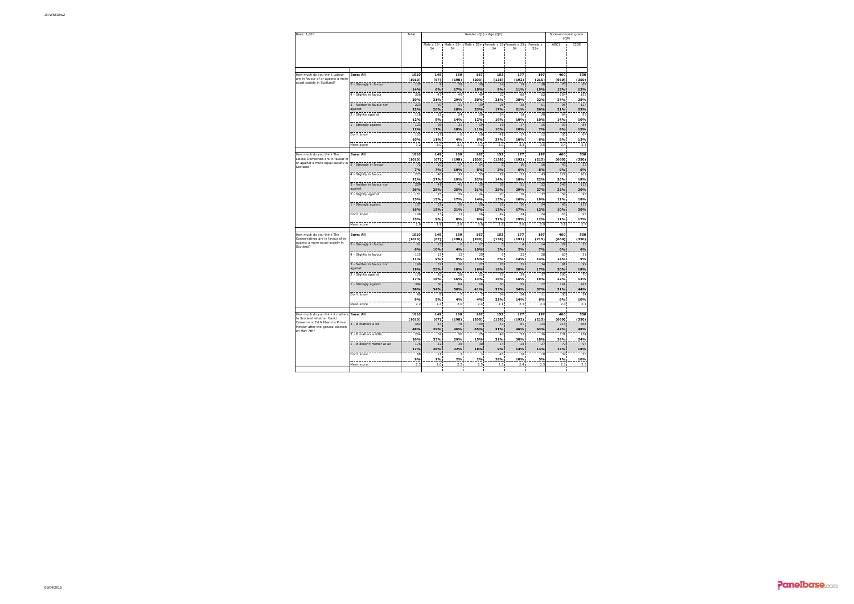| Base: 1,010                                                              | Total                                |                | Socio-economic grade<br>(Q9) |                  |                         |              |                                          |                                 |              |                         |
|--------------------------------------------------------------------------|--------------------------------------|----------------|------------------------------|------------------|-------------------------|--------------|------------------------------------------|---------------------------------|--------------|-------------------------|
|                                                                          |                                      |                | Male x 18-<br>34             | Male x 35-<br>54 |                         | 34           | Male x 55+ Female x 18 Female x 35<br>54 | Female x<br>$55+$               | ABC1         | C <sub>2</sub> DE       |
|                                                                          |                                      |                |                              |                  |                         |              |                                          |                                 |              |                         |
| How much do you think Labour                                             | <b>Base: All</b>                     | 1010           | 149                          | 169              | 167                     | 152          | 177                                      | 197                             | 460          | 550                     |
| are in favour of or against a more                                       |                                      | (1010)         | (67)                         | (198)            | (200)                   | (138)        | (192)                                    | (215)                           | (660)        | (350)                   |
| equal society in Scotland?                                               | 5 - Strongly in favour               | 137            | 9                            | 28               | 30                      | 14           | 19                                       | 38                              | 70           | 67                      |
|                                                                          |                                      | 14%            | 6%                           | 17%              | 18%                     | 9%           | 11%                                      | 19%                             | 15%          | 12%                     |
|                                                                          | 4 - Slightly in favour               | 306<br>30%     | 47<br>31%                    | 49<br>29%        | 49<br>30%               | 32<br>21%    | 68<br>38%                                | 62<br>32%                       | 154<br>34%   | 152<br>28%              |
|                                                                          | 3 - Neither in favour nor            | 223            | 39                           | 31               | 39                      | 25           | 38                                       | 51                              | 96           | 127                     |
|                                                                          | against                              | 22%            | 26%                          | 18%              | 23%                     | 17%          | 21%                                      | 26%                             | 21%          | 23%                     |
|                                                                          | 2 - Slightly against                 | 118            | 12                           | 24               | 20                      | 24           | 18                                       | 20                              | 64           | 53                      |
|                                                                          |                                      | 12%            | 8%                           | 14%              | 12%                     | 16%          | 10%                                      | 10%                             | 14%          | 10%                     |
|                                                                          | 1 - Strongly against                 | 123            | 26                           | 31               | 19                      | 15           | 17                                       | 15                              | 39           | 84                      |
|                                                                          | Don't know                           | 12%<br>103     | 17%<br>17                    | 18%<br>6         | 11%<br>10               | 10%<br>41    | 10%<br>17                                | 7%<br>12                        | 8%<br>36     | 15%<br>6                |
|                                                                          |                                      | 10%            | 11%                          | 4%               | 6%                      | 27%          | 10%                                      | 6%                              | 8%           | 12%                     |
|                                                                          | Mean score                           | 3.2            | 3.0                          | 3.1              | 3.3                     | 3.0          | 3.3                                      | 3.5                             | 3.4          | 3.1                     |
|                                                                          |                                      |                |                              |                  |                         |              |                                          |                                 |              |                         |
| How much do you think The                                                | <b>Base: All</b>                     | 1010           | 149                          | 169              | 167                     | 152          | 177                                      | 197                             | 460          | 550                     |
| Liberal Democrats are in favour of<br>or against a more equal society in |                                      | (1010)         | (67)                         | (198)            | (200)                   | (138)        | (192)                                    | (215)                           | (660)        | (350)<br>$\overline{3}$ |
| Scotland?                                                                | 5 - Strongly in favour               | 72<br>7%       | 10 <sub>1</sub><br>7%        | 17<br>10%        | 14<br>8%                | 5<br>3%      | 10<br>6%                                 | 16<br>8%                        | 40<br>9%     | 6%                      |
|                                                                          | 4 - Slightly in favour               | 223            | 40                           | 32               | 53                      | 22           | 33                                       | 4                               | 122          | 101                     |
|                                                                          |                                      | 22%            | 27%                          | 19%              | 32%                     | 14%          | <b>18%</b>                               | 22%                             | 26%          | 18%                     |
|                                                                          | 3 - Neither in favour nor            | 259            | 41                           | 41               | 35                      | 38           | 51                                       | 52                              | 146          | 112                     |
|                                                                          | against                              | 26%            | 28%                          | 25%              | 21%                     | 25%          | 29%                                      | 27%                             | 32%          | 20%                     |
|                                                                          | 2 - Slightly against                 | 151            | 23                           | 29               | 24                      | 20           | 18                                       | 37                              | 54           | 97                      |
|                                                                          |                                      | 15%<br>157     | 15%<br>22                    | 17%<br>36        | 14%<br>26               | 13%          | 10%<br>30                                | 19%<br>$\overline{\mathcal{H}}$ | 12%<br>45    | 18%<br>11 <sup>2</sup>  |
|                                                                          | 1 - Strongly against                 | 16%            | 15%                          | 21%              | 15%                     | 18<br>12%    | 17%                                      | 12%                             | 10%          | 20%                     |
|                                                                          | Don't know                           | 148            | 13                           | 13               | 16                      | 49           | 34                                       | $\mathbf{z}$                    | 53           | 95                      |
|                                                                          |                                      | 15%            | 9%                           | 8%               | 9%                      | 32%          | 19%                                      | 12%                             | 11%          | 17%                     |
|                                                                          | Mean score                           | 2.9            | 2.9                          | 2.8              | 3.0                     | 2.8          | 2.8                                      | 2.9                             | 3.1          | 2.7                     |
|                                                                          |                                      |                |                              |                  |                         |              |                                          |                                 |              |                         |
| How much do you think The<br>Conservatives are in favour of or           | <b>Base: All</b>                     | 1010<br>(1010) | 149<br>(67)                  | 169<br>(198)     | 167<br>(200)            | 152<br>(138) | 177<br>(192)                             | 197<br>(215)                    | 460<br>(660) | 550<br>(350)            |
| against a more equal society in                                          | 5 - Strongly in favour               | 61             | 15                           | 6                | 17                      |              | 4                                        | 14                              | 29           | 33                      |
| Scotland?                                                                |                                      | 6%             | 10%                          | 4%               | 10%                     | 3%           | 2%                                       | 7%                              | 6%           | 6%                      |
|                                                                          | 4 - Slightly in favour               | 115            | 13                           | 15               | 25                      |              | 75                                       | 28                              | 63           | 51                      |
|                                                                          |                                      | 11%            | 9%                           | 9%               | 15%                     | 6%           | 14%                                      | 14%                             | 14%          | 9%                      |
|                                                                          | 3 - Neither in favour nor<br>against | 190            | 37                           | 30               | 27                      | 28           | 35                                       | 34                              | 91           | 95                      |
|                                                                          | 2 - Slightly against                 | 19%<br>170     | 25%<br>26                    | 18%<br>28        | 16%<br>22               | 18%<br>27    | 20%<br>29                                | 17%<br>37                       | 20%<br>100   | 18%<br>70               |
|                                                                          |                                      | 17%            | 18%                          | 16%              | 13%                     | 18%          | 16%                                      | 19%                             | 22%          | 13%                     |
|                                                                          | 1 - Strongly against                 | 384            | 50                           | 84               | 69                      | 50           | 59                                       | 72                              | 141          | 24 <sub>3</sub>         |
|                                                                          |                                      | 38%            | 34%                          | 50%              | 41%                     | 33%          | 34%                                      | 37%                             | 31%          | 44%                     |
|                                                                          | Don't know                           | 90             | 8                            | 7                |                         | 34           | 24                                       | 11                              | 36           | 54                      |
|                                                                          |                                      | 9%             | 5%                           | 4%               | 4%                      | 22%          | 14%                                      | 6%                              | 8%           | 10%                     |
|                                                                          | Mean score                           | 2.2            | 2.4                          | 2.0              | 2.4                     | 2.1          | 2.3                                      | 2.3                             | 2.4          | 2.1                     |
| How much do you think it matters                                         | <b>Base: All</b>                     | 1010           | 149                          | 169              | 167                     | 152          | 177                                      | 197                             | 460          | 550                     |
| to Scotland whether David                                                |                                      | (1010)         | (67)                         | (198)            | (200)                   | (138)        | (192)                                    | (215)                           | (660)        | (350)                   |
| Cameron or Ed Miliband is Prime<br>Minster after the general election    | 3 - It matters a lot                 | 482            | 43                           | 78               | 109                     | 47           | 81                                       | 124                             | 218          | 26 <sub>6</sub>         |
| on May 7th?                                                              |                                      | 48%            | 29%                          | 46%              | 65%                     | 31%          | 46%                                      | 63%                             | 47%          | 48%                     |
|                                                                          | 2 - It matters a little              | 264            | 52                           | 50               | 25                      | 48           | 53                                       | 36                              | 131          | 134                     |
|                                                                          | 1 - It doesn't matter at all         | 26%<br>176     | 35%<br>42                    | 29%<br>38        | 15%<br>30               | 32%<br>14    | 30%<br>24                                | 18%<br>27                       | 28%<br>79    | 24%<br>97               |
|                                                                          |                                      | 17%            | 28%                          | 22%              | 18%                     | 9%           | 14%                                      | 14%                             | 17%          | 18%                     |
|                                                                          | Don't know                           | 88             | 11                           | В                | $\overline{\mathbf{3}}$ | 43           | 18                                       | 10                              | 32           | 55                      |
|                                                                          |                                      | 9%             | 7%                           | 2%               | 2%                      | 28%          | 10%                                      | 5%                              | 7%           | 10%                     |
|                                                                          | Mean score                           | 2.3            | 2.0                          | 2.2              | 2.5                     | 2.3          | 2.4                                      | 2.5                             | 2.3          | 2.3                     |
|                                                                          |                                      |                |                              |                  |                         |              |                                          |                                 |              |                         |